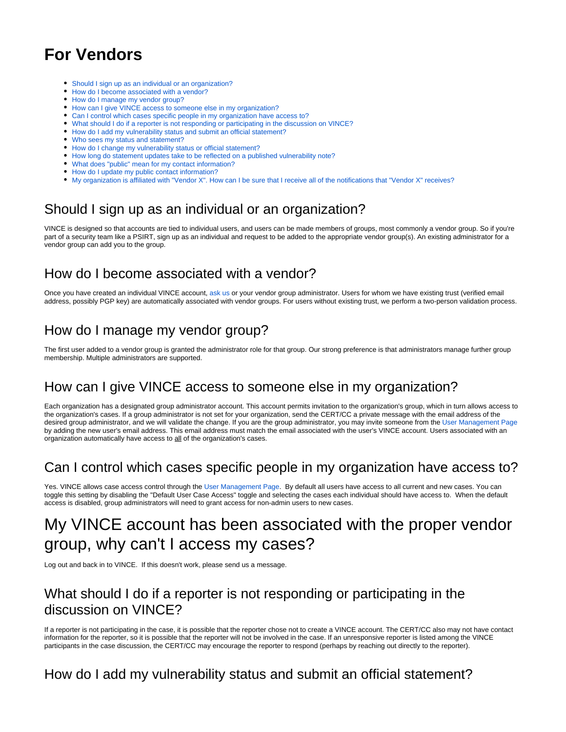# **For Vendors**

- [Should I sign up as an individual or an organization?](https://vuls.cert.org/confluence/display/VIN/For+Vendors#ForVendors-ShouldIsignupasanindividualoranorganization?)
- [How do I become associated with a vendor?](https://vuls.cert.org/confluence/display/VIN/For+Vendors#ForVendors-HowdoIbecomeassociatedwithavendor?)
- [How do I manage my vendor group?](https://vuls.cert.org/confluence/display/VIN/For+Vendors#ForVendors-HowdoImanagemyvendorgroup?)
- [How can I give VINCE access to someone else in my organization?](https://vuls.cert.org/confluence/display/VIN/For+Vendors#ForVendors-HowcanIgiveVINCEaccesstosomeoneelseinmyorganization?)
- [Can I control which cases specific people in my organization have access to?](https://vuls.cert.org/confluence/display/VIN/For+Vendors#ForVendors-CanIcontrolwhichcasesspecificpeopleinmyorganizationhaveaccessto?)
- [What should I do if a reporter is not responding or participating in the discussion on VINCE?](https://vuls.cert.org/confluence/display/VIN/For+Vendors#ForVendors-WhatshouldIdoifareporterisnotrespondingorparticipatinginthediscussiononVINCE?)
- [How do I add my vulnerability status and submit an official statement?](https://vuls.cert.org/confluence/display/VIN/For+Vendors#ForVendors-HowdoIaddmyvulnerabilitystatusandsubmitanofficialstatement?)
- [Who sees my status and statement?](https://vuls.cert.org/confluence/display/VIN/For+Vendors#ForVendors-Whoseesmystatusandstatement?)
- [How do I change my vulnerability status or official statement?](https://vuls.cert.org/confluence/display/VIN/For+Vendors#ForVendors-HowdoIchangemyvulnerabilitystatusorofficialstatement?)
- [How long do statement updates take to be reflected on a published vulnerability note?](https://vuls.cert.org/confluence/display/VIN/For+Vendors#ForVendors-Howlongdostatementupdatestaketobereflectedonapublishedvulnerabilitynote?)
- [What does "public" mean for my contact information?](https://vuls.cert.org/confluence/display/VIN/For+Vendors#ForVendors-Whatdoes"public"meanformycontactinformation?)
- [How do I update my public contact information?](https://vuls.cert.org/confluence/display/VIN/For+Vendors#ForVendors-HowdoIupdatemypubliccontactinformation?)
- [My organization is affiliated with "Vendor X". How can I be sure that I receive all of the notifications that "Vendor X" receives?](https://vuls.cert.org/confluence/display/VIN/For+Vendors#ForVendors-Myorganizationisaffiliatedwith"VendorX".HowcanIbesurethatIreceiveallofthenotificationsthat"VendorX"receives?)

# Should I sign up as an individual or an organization?

VINCE is designed so that accounts are tied to individual users, and users can be made members of groups, most commonly a vendor group. So if you're part of a security team like a PSIRT, sign up as an individual and request to be added to the appropriate vendor group(s). An existing administrator for a vendor group can add you to the group.

## How do I become associated with a vendor?

Once you have created an individual VINCE account, [ask us](https://kb.cert.org/vince/comm/sendmsg/10/) or your vendor group administrator. Users for whom we have existing trust (verified email address, possibly PGP key) are automatically associated with vendor groups. For users without existing trust, we perform a two-person validation process.

## How do I manage my vendor group?

The first user added to a vendor group is granted the administrator role for that group. Our strong preference is that administrators manage further group membership. Multiple administrators are supported.

#### How can I give VINCE access to someone else in my organization?

Each organization has a designated group administrator account. This account permits invitation to the organization's group, which in turn allows access to the organization's cases. If a group administrator is not set for your organization, send the CERT/CC a private message with the email address of the desired group administrator, and we will validate the change. If you are the group administrator, you may invite someone from the [User Management Page](https://kb.cert.org/vince/comm/groupadmin/) by adding the new user's email address. This email address must match the email associated with the user's VINCE account. Users associated with an organization automatically have access to all of the organization's cases.

## Can I control which cases specific people in my organization have access to?

Yes. VINCE allows case access control through the [User Management Page](https://kb.cert.org/vince/comm/groupadmin/). By default all users have access to all current and new cases. You can toggle this setting by disabling the "Default User Case Access" toggle and selecting the cases each individual should have access to. When the default access is disabled, group administrators will need to grant access for non-admin users to new cases.

# My VINCE account has been associated with the proper vendor group, why can't I access my cases?

Log out and back in to VINCE. If this doesn't work, please send us a message.

## What should I do if a reporter is not responding or participating in the discussion on VINCE?

If a reporter is not participating in the case, it is possible that the reporter chose not to create a VINCE account. The CERT/CC also may not have contact information for the reporter, so it is possible that the reporter will not be involved in the case. If an unresponsive reporter is listed among the VINCE participants in the case discussion, the CERT/CC may encourage the reporter to respond (perhaps by reaching out directly to the reporter).

# How do I add my vulnerability status and submit an official statement?